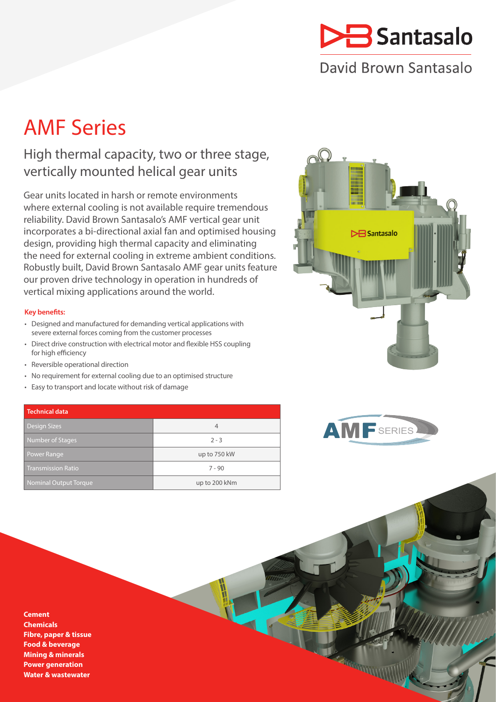

## David Brown Santasalo

# AMF Series

### High thermal capacity, two or three stage, vertically mounted helical gear units

Gear units located in harsh or remote environments where external cooling is not available require tremendous reliability. David Brown Santasalo's AMF vertical gear unit incorporates a bi-directional axial fan and optimised housing design, providing high thermal capacity and eliminating the need for external cooling in extreme ambient conditions. Robustly built, David Brown Santasalo AMF gear units feature our proven drive technology in operation in hundreds of vertical mixing applications around the world.

### **Key benefits:**

- Designed and manufactured for demanding vertical applications with severe external forces coming from the customer processes
- Direct drive construction with electrical motor and flexible HSS coupling for high efficiency
- Reversible operational direction
- No requirement for external cooling due to an optimised structure
- Easy to transport and locate without risk of damage

### **Technical data**

| <b>Design Sizes</b>          |               |
|------------------------------|---------------|
| <b>Number of Stages</b>      | $2 - 3$       |
| Power Range                  | up to 750 kW  |
| <b>Transmission Ratio</b>    | $7 - 90$      |
| <b>Nominal Output Torque</b> | up to 200 kNm |





**CONTRACTOR** 

**Cement Chemicals Fibre, paper & tissue Food & beverage Mining & minerals Power generation Water & wastewater**